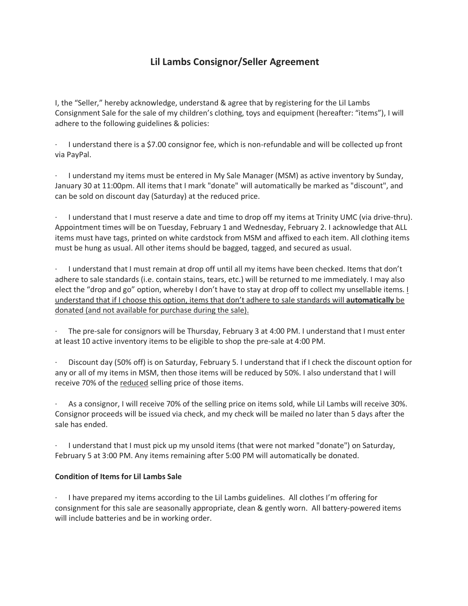## **Lil Lambs Consignor/Seller Agreement**

I, the "Seller," hereby acknowledge, understand & agree that by registering for the Lil Lambs Consignment Sale for the sale of my children's clothing, toys and equipment (hereafter: "items"), I will adhere to the following guidelines & policies:

· I understand there is a \$7.00 consignor fee, which is non-refundable and will be collected up front via PayPal.

· I understand my items must be entered in My Sale Manager (MSM) as active inventory by Sunday, January 30 at 11:00pm. All items that I mark "donate" will automatically be marked as "discount", and can be sold on discount day (Saturday) at the reduced price.

· I understand that I must reserve a date and time to drop off my items at Trinity UMC (via drive-thru). Appointment times will be on Tuesday, February 1 and Wednesday, February 2. I acknowledge that ALL items must have tags, printed on white cardstock from MSM and affixed to each item. All clothing items must be hung as usual. All other items should be bagged, tagged, and secured as usual.

· I understand that I must remain at drop off until all my items have been checked. Items that don't adhere to sale standards (i.e. contain stains, tears, etc.) will be returned to me immediately. I may also elect the "drop and go" option, whereby I don't have to stay at drop off to collect my unsellable items. I understand that if I choose this option, items that don't adhere to sale standards will **automatically** be donated (and not available for purchase during the sale).

The pre-sale for consignors will be Thursday, February 3 at 4:00 PM. I understand that I must enter at least 10 active inventory items to be eligible to shop the pre-sale at 4:00 PM.

Discount day (50% off) is on Saturday, February 5. I understand that if I check the discount option for any or all of my items in MSM, then those items will be reduced by 50%. I also understand that I will receive 70% of the reduced selling price of those items.

· As a consignor, I will receive 70% of the selling price on items sold, while Lil Lambs will receive 30%. Consignor proceeds will be issued via check, and my check will be mailed no later than 5 days after the sale has ended.

· I understand that I must pick up my unsold items (that were not marked "donate") on Saturday, February 5 at 3:00 PM. Any items remaining after 5:00 PM will automatically be donated.

## **Condition of Items for Lil Lambs Sale**

· I have prepared my items according to the Lil Lambs guidelines. All clothes I'm offering for consignment for this sale are seasonally appropriate, clean & gently worn. All battery-powered items will include batteries and be in working order.